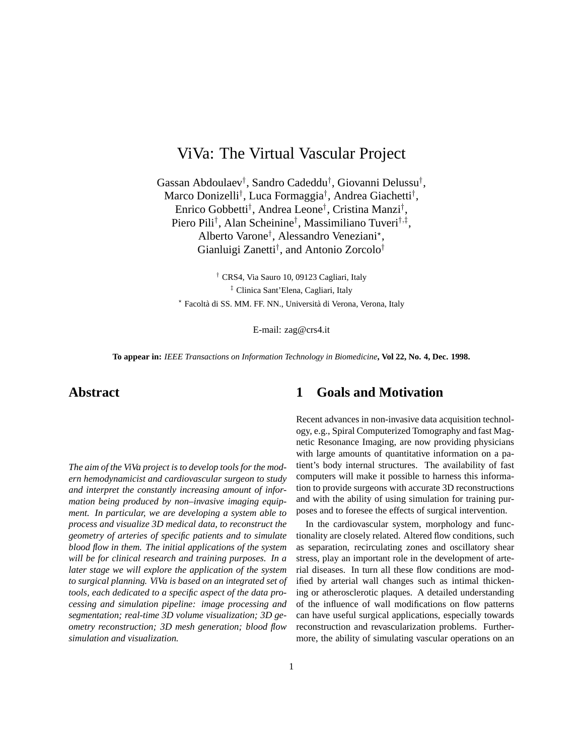# ViVa: The Virtual Vascular Project

Gassan Abdoulaev† , Sandro Cadeddu† , Giovanni Delussu† , Marco Donizelli† , Luca Formaggia† , Andrea Giachetti† , Enrico Gobbetti† , Andrea Leone† , Cristina Manzi† , Piero Pili<sup>†</sup>, Alan Scheinine<sup>†</sup>, Massimiliano Tuveri<sup>†,‡</sup>, Alberto Varone† , Alessandro Veneziani? , Gianluigi Zanetti† , and Antonio Zorcolo†

† CRS4, Via Sauro 10, 09123 Cagliari, Italy ‡ Clinica Sant'Elena, Cagliari, Italy \* Facoltà di SS. MM. FF. NN., Università di Verona, Verona, Italy

E-mail: zag@crs4.it

**To appear in:** *IEEE Transactions on Information Technology in Biomedicine***, Vol 22, No. 4, Dec. 1998.**

# **Abstract**

*The aim of the ViVa project is to develop tools for the modern hemodynamicist and cardiovascular surgeon to study and interpret the constantly increasing amount of information being produced by non–invasive imaging equipment. In particular, we are developing a system able to process and visualize 3D medical data, to reconstruct the geometry of arteries of specific patients and to simulate blood flow in them. The initial applications of the system will be for clinical research and training purposes. In a later stage we will explore the application of the system to surgical planning. ViVa is based on an integrated set of tools, each dedicated to a specific aspect of the data processing and simulation pipeline: image processing and segmentation; real-time 3D volume visualization; 3D geometry reconstruction; 3D mesh generation; blood flow simulation and visualization.*

# **1 Goals and Motivation**

Recent advances in non-invasive data acquisition technology, e.g., Spiral Computerized Tomography and fast Magnetic Resonance Imaging, are now providing physicians with large amounts of quantitative information on a patient's body internal structures. The availability of fast computers will make it possible to harness this information to provide surgeons with accurate 3D reconstructions and with the ability of using simulation for training purposes and to foresee the effects of surgical intervention.

In the cardiovascular system, morphology and functionality are closely related. Altered flow conditions, such as separation, recirculating zones and oscillatory shear stress, play an important role in the development of arterial diseases. In turn all these flow conditions are modified by arterial wall changes such as intimal thickening or atherosclerotic plaques. A detailed understanding of the influence of wall modifications on flow patterns can have useful surgical applications, especially towards reconstruction and revascularization problems. Furthermore, the ability of simulating vascular operations on an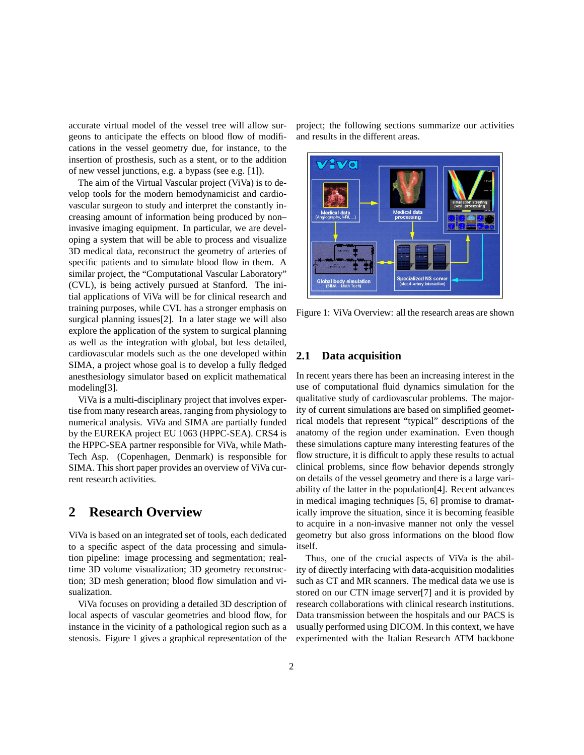accurate virtual model of the vessel tree will allow surgeons to anticipate the effects on blood flow of modifications in the vessel geometry due, for instance, to the insertion of prosthesis, such as a stent, or to the addition of new vessel junctions, e.g. a bypass (see e.g. [1]).

The aim of the Virtual Vascular project (ViVa) is to develop tools for the modern hemodynamicist and cardiovascular surgeon to study and interpret the constantly increasing amount of information being produced by non– invasive imaging equipment. In particular, we are developing a system that will be able to process and visualize 3D medical data, reconstruct the geometry of arteries of specific patients and to simulate blood flow in them. A similar project, the "Computational Vascular Laboratory" (CVL), is being actively pursued at Stanford. The initial applications of ViVa will be for clinical research and training purposes, while CVL has a stronger emphasis on surgical planning issues[2]. In a later stage we will also explore the application of the system to surgical planning as well as the integration with global, but less detailed, cardiovascular models such as the one developed within SIMA, a project whose goal is to develop a fully fledged anesthesiology simulator based on explicit mathematical modeling[3].

ViVa is a multi-disciplinary project that involves expertise from many research areas, ranging from physiology to numerical analysis. ViVa and SIMA are partially funded by the EUREKA project EU 1063 (HPPC-SEA). CRS4 is the HPPC-SEA partner responsible for ViVa, while Math-Tech Asp. (Copenhagen, Denmark) is responsible for SIMA. This short paper provides an overview of ViVa current research activities.

### **2 Research Overview**

ViVa is based on an integrated set of tools, each dedicated to a specific aspect of the data processing and simulation pipeline: image processing and segmentation; realtime 3D volume visualization; 3D geometry reconstruction; 3D mesh generation; blood flow simulation and visualization.

ViVa focuses on providing a detailed 3D description of local aspects of vascular geometries and blood flow, for instance in the vicinity of a pathological region such as a stenosis. Figure 1 gives a graphical representation of the project; the following sections summarize our activities and results in the different areas.



Figure 1: ViVa Overview: all the research areas are shown

#### **2.1 Data acquisition**

In recent years there has been an increasing interest in the use of computational fluid dynamics simulation for the qualitative study of cardiovascular problems. The majority of current simulations are based on simplified geometrical models that represent "typical" descriptions of the anatomy of the region under examination. Even though these simulations capture many interesting features of the flow structure, it is difficult to apply these results to actual clinical problems, since flow behavior depends strongly on details of the vessel geometry and there is a large variability of the latter in the population[4]. Recent advances in medical imaging techniques [5, 6] promise to dramatically improve the situation, since it is becoming feasible to acquire in a non-invasive manner not only the vessel geometry but also gross informations on the blood flow itself.

Thus, one of the crucial aspects of ViVa is the ability of directly interfacing with data-acquisition modalities such as CT and MR scanners. The medical data we use is stored on our CTN image server[7] and it is provided by research collaborations with clinical research institutions. Data transmission between the hospitals and our PACS is usually performed using DICOM. In this context, we have experimented with the Italian Research ATM backbone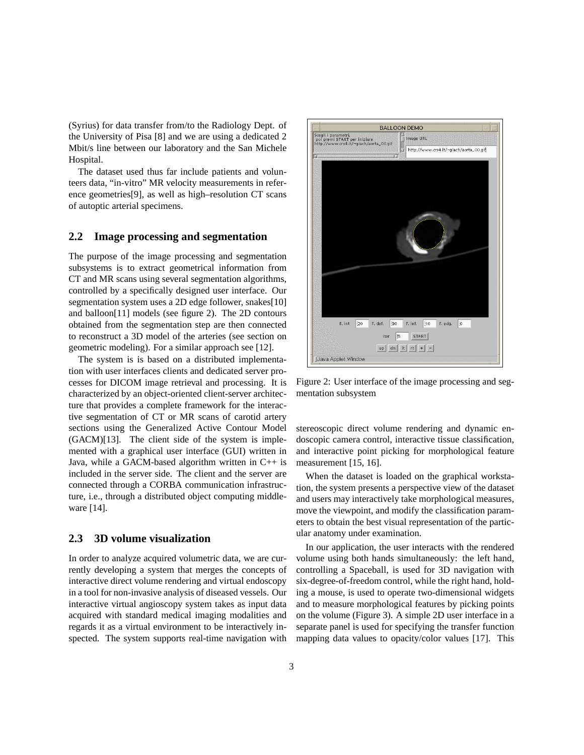(Syrius) for data transfer from/to the Radiology Dept. of the University of Pisa [8] and we are using a dedicated 2 Mbit/s line between our laboratory and the San Michele Hospital.

The dataset used thus far include patients and volunteers data, "in-vitro" MR velocity measurements in reference geometries[9], as well as high–resolution CT scans of autoptic arterial specimens.

#### **2.2 Image processing and segmentation**

The purpose of the image processing and segmentation subsystems is to extract geometrical information from CT and MR scans using several segmentation algorithms, controlled by a specifically designed user interface. Our segmentation system uses a 2D edge follower, snakes[10] and balloon[11] models (see figure 2). The 2D contours obtained from the segmentation step are then connected to reconstruct a 3D model of the arteries (see section on geometric modeling). For a similar approach see [12].

The system is is based on a distributed implementation with user interfaces clients and dedicated server processes for DICOM image retrieval and processing. It is characterized by an object-oriented client-server architecture that provides a complete framework for the interactive segmentation of CT or MR scans of carotid artery sections using the Generalized Active Contour Model (GACM)[13]. The client side of the system is implemented with a graphical user interface (GUI) written in Java, while a GACM-based algorithm written in  $C++$  is included in the server side. The client and the server are connected through a CORBA communication infrastructure, i.e., through a distributed object computing middleware [14].

#### **2.3 3D volume visualization**

In order to analyze acquired volumetric data, we are currently developing a system that merges the concepts of interactive direct volume rendering and virtual endoscopy in a tool for non-invasive analysis of diseased vessels. Our interactive virtual angioscopy system takes as input data acquired with standard medical imaging modalities and regards it as a virtual environment to be interactively inspected. The system supports real-time navigation with



Figure 2: User interface of the image processing and segmentation subsystem

stereoscopic direct volume rendering and dynamic endoscopic camera control, interactive tissue classification, and interactive point picking for morphological feature measurement [15, 16].

When the dataset is loaded on the graphical workstation, the system presents a perspective view of the dataset and users may interactively take morphological measures, move the viewpoint, and modify the classification parameters to obtain the best visual representation of the particular anatomy under examination.

In our application, the user interacts with the rendered volume using both hands simultaneously: the left hand, controlling a Spaceball, is used for 3D navigation with six-degree-of-freedom control, while the right hand, holding a mouse, is used to operate two-dimensional widgets and to measure morphological features by picking points on the volume (Figure 3). A simple 2D user interface in a separate panel is used for specifying the transfer function mapping data values to opacity/color values [17]. This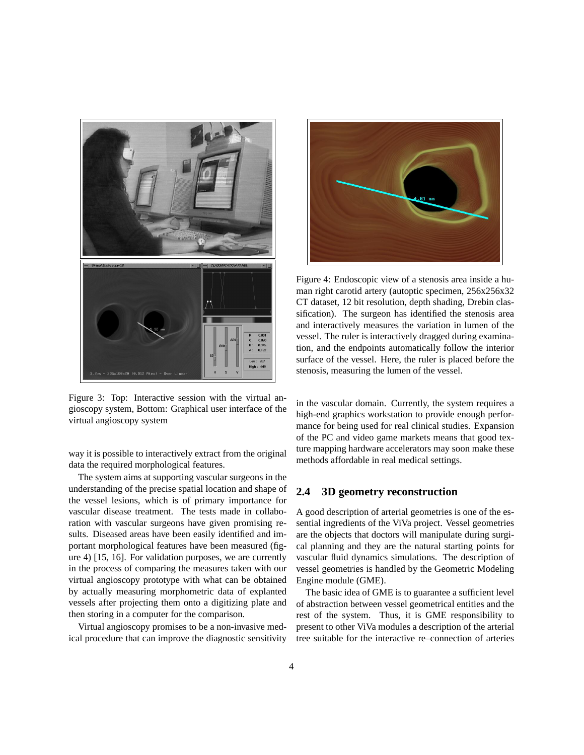

Figure 3: Top: Interactive session with the virtual angioscopy system, Bottom: Graphical user interface of the virtual angioscopy system

way it is possible to interactively extract from the original data the required morphological features.

The system aims at supporting vascular surgeons in the understanding of the precise spatial location and shape of the vessel lesions, which is of primary importance for vascular disease treatment. The tests made in collaboration with vascular surgeons have given promising results. Diseased areas have been easily identified and important morphological features have been measured (figure 4) [15, 16]. For validation purposes, we are currently in the process of comparing the measures taken with our virtual angioscopy prototype with what can be obtained by actually measuring morphometric data of explanted vessels after projecting them onto a digitizing plate and then storing in a computer for the comparison.

Virtual angioscopy promises to be a non-invasive medical procedure that can improve the diagnostic sensitivity



Figure 4: Endoscopic view of a stenosis area inside a human right carotid artery (autoptic specimen, 256x256x32 CT dataset, 12 bit resolution, depth shading, Drebin classification). The surgeon has identified the stenosis area and interactively measures the variation in lumen of the vessel. The ruler is interactively dragged during examination, and the endpoints automatically follow the interior surface of the vessel. Here, the ruler is placed before the stenosis, measuring the lumen of the vessel.

in the vascular domain. Currently, the system requires a high-end graphics workstation to provide enough performance for being used for real clinical studies. Expansion of the PC and video game markets means that good texture mapping hardware accelerators may soon make these methods affordable in real medical settings.

#### **2.4 3D geometry reconstruction**

A good description of arterial geometries is one of the essential ingredients of the ViVa project. Vessel geometries are the objects that doctors will manipulate during surgical planning and they are the natural starting points for vascular fluid dynamics simulations. The description of vessel geometries is handled by the Geometric Modeling Engine module (GME).

The basic idea of GME is to guarantee a sufficient level of abstraction between vessel geometrical entities and the rest of the system. Thus, it is GME responsibility to present to other ViVa modules a description of the arterial tree suitable for the interactive re–connection of arteries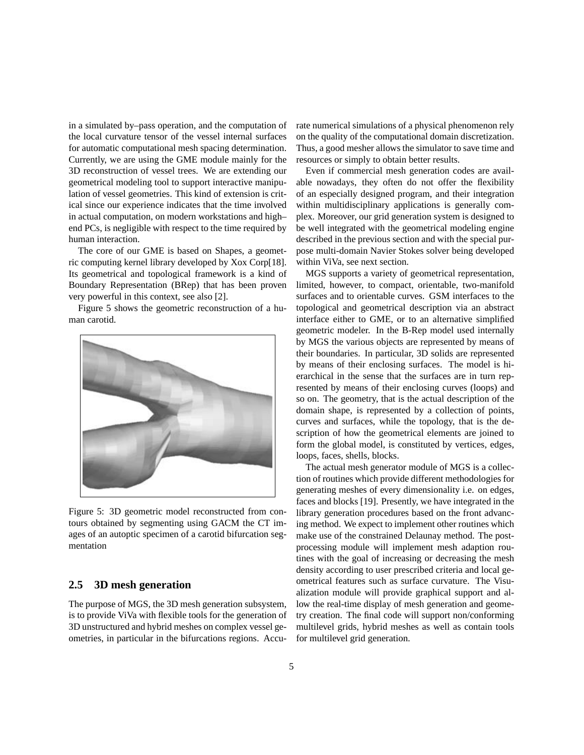in a simulated by–pass operation, and the computation of the local curvature tensor of the vessel internal surfaces for automatic computational mesh spacing determination. Currently, we are using the GME module mainly for the 3D reconstruction of vessel trees. We are extending our geometrical modeling tool to support interactive manipulation of vessel geometries. This kind of extension is critical since our experience indicates that the time involved in actual computation, on modern workstations and high– end PCs, is negligible with respect to the time required by human interaction.

The core of our GME is based on Shapes, a geometric computing kernel library developed by Xox Corp[18]. Its geometrical and topological framework is a kind of Boundary Representation (BRep) that has been proven very powerful in this context, see also [2].

Figure 5 shows the geometric reconstruction of a human carotid.



Figure 5: 3D geometric model reconstructed from contours obtained by segmenting using GACM the CT images of an autoptic specimen of a carotid bifurcation segmentation

#### **2.5 3D mesh generation**

The purpose of MGS, the 3D mesh generation subsystem, is to provide ViVa with flexible tools for the generation of 3D unstructured and hybrid meshes on complex vessel geometries, in particular in the bifurcations regions. Accurate numerical simulations of a physical phenomenon rely on the quality of the computational domain discretization. Thus, a good mesher allows the simulator to save time and resources or simply to obtain better results.

Even if commercial mesh generation codes are available nowadays, they often do not offer the flexibility of an especially designed program, and their integration within multidisciplinary applications is generally complex. Moreover, our grid generation system is designed to be well integrated with the geometrical modeling engine described in the previous section and with the special purpose multi-domain Navier Stokes solver being developed within ViVa, see next section.

MGS supports a variety of geometrical representation, limited, however, to compact, orientable, two-manifold surfaces and to orientable curves. GSM interfaces to the topological and geometrical description via an abstract interface either to GME, or to an alternative simplified geometric modeler. In the B-Rep model used internally by MGS the various objects are represented by means of their boundaries. In particular, 3D solids are represented by means of their enclosing surfaces. The model is hierarchical in the sense that the surfaces are in turn represented by means of their enclosing curves (loops) and so on. The geometry, that is the actual description of the domain shape, is represented by a collection of points, curves and surfaces, while the topology, that is the description of how the geometrical elements are joined to form the global model, is constituted by vertices, edges, loops, faces, shells, blocks.

The actual mesh generator module of MGS is a collection of routines which provide different methodologies for generating meshes of every dimensionality i.e. on edges, faces and blocks [19]. Presently, we have integrated in the library generation procedures based on the front advancing method. We expect to implement other routines which make use of the constrained Delaunay method. The postprocessing module will implement mesh adaption routines with the goal of increasing or decreasing the mesh density according to user prescribed criteria and local geometrical features such as surface curvature. The Visualization module will provide graphical support and allow the real-time display of mesh generation and geometry creation. The final code will support non/conforming multilevel grids, hybrid meshes as well as contain tools for multilevel grid generation.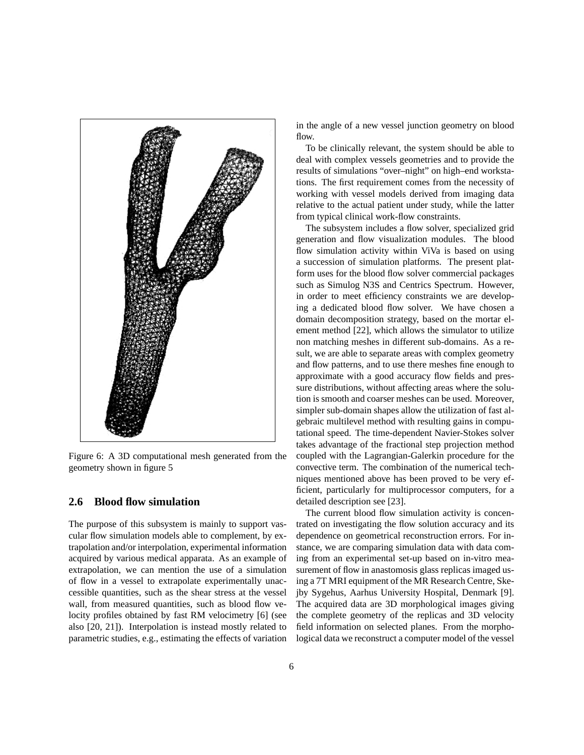

Figure 6: A 3D computational mesh generated from the geometry shown in figure 5

#### **2.6 Blood flow simulation**

The purpose of this subsystem is mainly to support vascular flow simulation models able to complement, by extrapolation and/or interpolation, experimental information acquired by various medical apparata. As an example of extrapolation, we can mention the use of a simulation of flow in a vessel to extrapolate experimentally unaccessible quantities, such as the shear stress at the vessel wall, from measured quantities, such as blood flow velocity profiles obtained by fast RM velocimetry [6] (see also [20, 21]). Interpolation is instead mostly related to parametric studies, e.g., estimating the effects of variation

in the angle of a new vessel junction geometry on blood flow.

To be clinically relevant, the system should be able to deal with complex vessels geometries and to provide the results of simulations "over–night" on high–end workstations. The first requirement comes from the necessity of working with vessel models derived from imaging data relative to the actual patient under study, while the latter from typical clinical work-flow constraints.

The subsystem includes a flow solver, specialized grid generation and flow visualization modules. The blood flow simulation activity within ViVa is based on using a succession of simulation platforms. The present platform uses for the blood flow solver commercial packages such as Simulog N3S and Centrics Spectrum. However, in order to meet efficiency constraints we are developing a dedicated blood flow solver. We have chosen a domain decomposition strategy, based on the mortar element method [22], which allows the simulator to utilize non matching meshes in different sub-domains. As a result, we are able to separate areas with complex geometry and flow patterns, and to use there meshes fine enough to approximate with a good accuracy flow fields and pressure distributions, without affecting areas where the solution is smooth and coarser meshes can be used. Moreover, simpler sub-domain shapes allow the utilization of fast algebraic multilevel method with resulting gains in computational speed. The time-dependent Navier-Stokes solver takes advantage of the fractional step projection method coupled with the Lagrangian-Galerkin procedure for the convective term. The combination of the numerical techniques mentioned above has been proved to be very efficient, particularly for multiprocessor computers, for a detailed description see [23].

The current blood flow simulation activity is concentrated on investigating the flow solution accuracy and its dependence on geometrical reconstruction errors. For instance, we are comparing simulation data with data coming from an experimental set-up based on in-vitro measurement of flow in anastomosis glass replicas imaged using a 7T MRI equipment of the MR Research Centre, Skejby Sygehus, Aarhus University Hospital, Denmark [9]. The acquired data are 3D morphological images giving the complete geometry of the replicas and 3D velocity field information on selected planes. From the morphological data we reconstruct a computer model of the vessel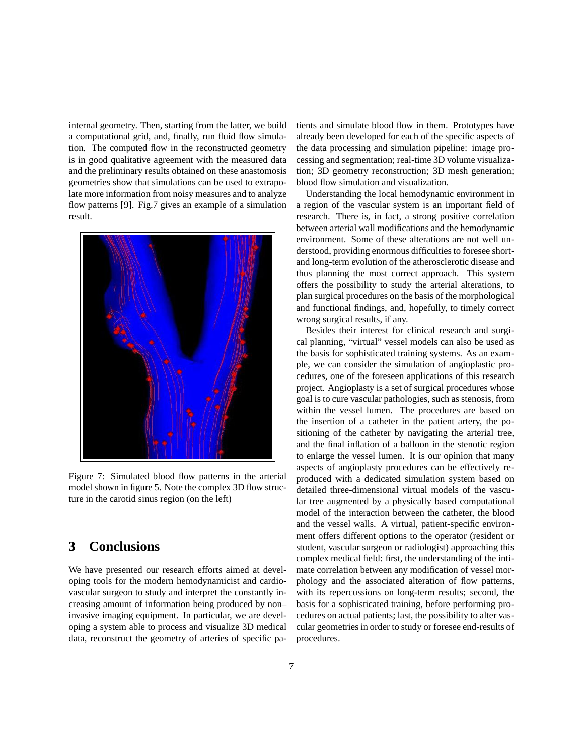internal geometry. Then, starting from the latter, we build a computational grid, and, finally, run fluid flow simulation. The computed flow in the reconstructed geometry is in good qualitative agreement with the measured data and the preliminary results obtained on these anastomosis geometries show that simulations can be used to extrapolate more information from noisy measures and to analyze flow patterns [9]. Fig.7 gives an example of a simulation result.



Figure 7: Simulated blood flow patterns in the arterial model shown in figure 5. Note the complex 3D flow structure in the carotid sinus region (on the left)

# **3 Conclusions**

We have presented our research efforts aimed at developing tools for the modern hemodynamicist and cardiovascular surgeon to study and interpret the constantly increasing amount of information being produced by non– invasive imaging equipment. In particular, we are developing a system able to process and visualize 3D medical data, reconstruct the geometry of arteries of specific patients and simulate blood flow in them. Prototypes have already been developed for each of the specific aspects of the data processing and simulation pipeline: image processing and segmentation; real-time 3D volume visualization; 3D geometry reconstruction; 3D mesh generation; blood flow simulation and visualization.

Understanding the local hemodynamic environment in a region of the vascular system is an important field of research. There is, in fact, a strong positive correlation between arterial wall modifications and the hemodynamic environment. Some of these alterations are not well understood, providing enormous difficulties to foresee shortand long-term evolution of the atherosclerotic disease and thus planning the most correct approach. This system offers the possibility to study the arterial alterations, to plan surgical procedures on the basis of the morphological and functional findings, and, hopefully, to timely correct wrong surgical results, if any.

Besides their interest for clinical research and surgical planning, "virtual" vessel models can also be used as the basis for sophisticated training systems. As an example, we can consider the simulation of angioplastic procedures, one of the foreseen applications of this research project. Angioplasty is a set of surgical procedures whose goal is to cure vascular pathologies, such as stenosis, from within the vessel lumen. The procedures are based on the insertion of a catheter in the patient artery, the positioning of the catheter by navigating the arterial tree, and the final inflation of a balloon in the stenotic region to enlarge the vessel lumen. It is our opinion that many aspects of angioplasty procedures can be effectively reproduced with a dedicated simulation system based on detailed three-dimensional virtual models of the vascular tree augmented by a physically based computational model of the interaction between the catheter, the blood and the vessel walls. A virtual, patient-specific environment offers different options to the operator (resident or student, vascular surgeon or radiologist) approaching this complex medical field: first, the understanding of the intimate correlation between any modification of vessel morphology and the associated alteration of flow patterns, with its repercussions on long-term results; second, the basis for a sophisticated training, before performing procedures on actual patients; last, the possibility to alter vascular geometries in order to study or foresee end-results of procedures.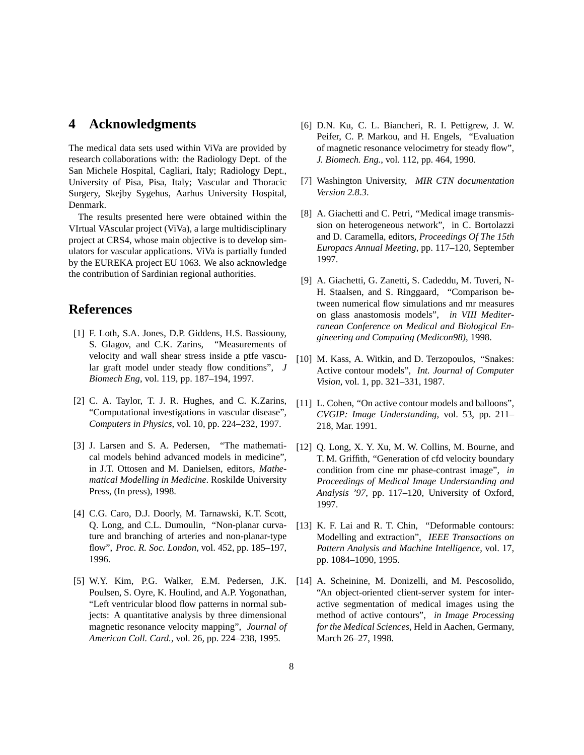# **4 Acknowledgments**

The medical data sets used within ViVa are provided by research collaborations with: the Radiology Dept. of the San Michele Hospital, Cagliari, Italy; Radiology Dept., University of Pisa, Pisa, Italy; Vascular and Thoracic Surgery, Skejby Sygehus, Aarhus University Hospital, Denmark.

The results presented here were obtained within the VIrtual VAscular project (ViVa), a large multidisciplinary project at CRS4, whose main objective is to develop simulators for vascular applications. ViVa is partially funded by the EUREKA project EU 1063. We also acknowledge the contribution of Sardinian regional authorities.

# **References**

- [1] F. Loth, S.A. Jones, D.P. Giddens, H.S. Bassiouny, S. Glagov, and C.K. Zarins, "Measurements of velocity and wall shear stress inside a ptfe vascular graft model under steady flow conditions", *J Biomech Eng*, vol. 119, pp. 187–194, 1997.
- [2] C. A. Taylor, T. J. R. Hughes, and C. K.Zarins, "Computational investigations in vascular disease", *Computers in Physics*, vol. 10, pp. 224–232, 1997.
- [3] J. Larsen and S. A. Pedersen, "The mathematical models behind advanced models in medicine", in J.T. Ottosen and M. Danielsen, editors, *Mathematical Modelling in Medicine*. Roskilde University Press, (In press), 1998.
- [4] C.G. Caro, D.J. Doorly, M. Tarnawski, K.T. Scott, Q. Long, and C.L. Dumoulin, "Non-planar curvature and branching of arteries and non-planar-type flow", *Proc. R. Soc. London*, vol. 452, pp. 185–197, 1996.
- [5] W.Y. Kim, P.G. Walker, E.M. Pedersen, J.K. Poulsen, S. Oyre, K. Houlind, and A.P. Yogonathan, "Left ventricular blood flow patterns in normal subjects: A quantitative analysis by three dimensional magnetic resonance velocity mapping", *Journal of American Coll. Card.*, vol. 26, pp. 224–238, 1995.
- [6] D.N. Ku, C. L. Biancheri, R. I. Pettigrew, J. W. Peifer, C. P. Markou, and H. Engels, "Evaluation of magnetic resonance velocimetry for steady flow", *J. Biomech. Eng.*, vol. 112, pp. 464, 1990.
- [7] Washington University, *MIR CTN documentation Version 2.8.3*.
- [8] A. Giachetti and C. Petri, "Medical image transmission on heterogeneous network", in C. Bortolazzi and D. Caramella, editors, *Proceedings Of The 15th Europacs Annual Meeting*, pp. 117–120, September 1997.
- [9] A. Giachetti, G. Zanetti, S. Cadeddu, M. Tuveri, N-H. Staalsen, and S. Ringgaard, "Comparison between numerical flow simulations and mr measures on glass anastomosis models", *in VIII Mediterranean Conference on Medical and Biological Engineering and Computing (Medicon98)*, 1998.
- [10] M. Kass, A. Witkin, and D. Terzopoulos, "Snakes: Active contour models", *Int. Journal of Computer Vision*, vol. 1, pp. 321–331, 1987.
- [11] L. Cohen, "On active contour models and balloons", *CVGIP: Image Understanding*, vol. 53, pp. 211– 218, Mar. 1991.
- [12] Q. Long, X. Y. Xu, M. W. Collins, M. Bourne, and T. M. Griffith, "Generation of cfd velocity boundary condition from cine mr phase-contrast image", *in Proceedings of Medical Image Understanding and Analysis '97*, pp. 117–120, University of Oxford, 1997.
- [13] K. F. Lai and R. T. Chin, "Deformable contours: Modelling and extraction", *IEEE Transactions on Pattern Analysis and Machine Intelligence*, vol. 17, pp. 1084–1090, 1995.
- [14] A. Scheinine, M. Donizelli, and M. Pescosolido, "An object-oriented client-server system for interactive segmentation of medical images using the method of active contours", *in Image Processing for the Medical Sciences*, Held in Aachen, Germany, March 26–27, 1998.